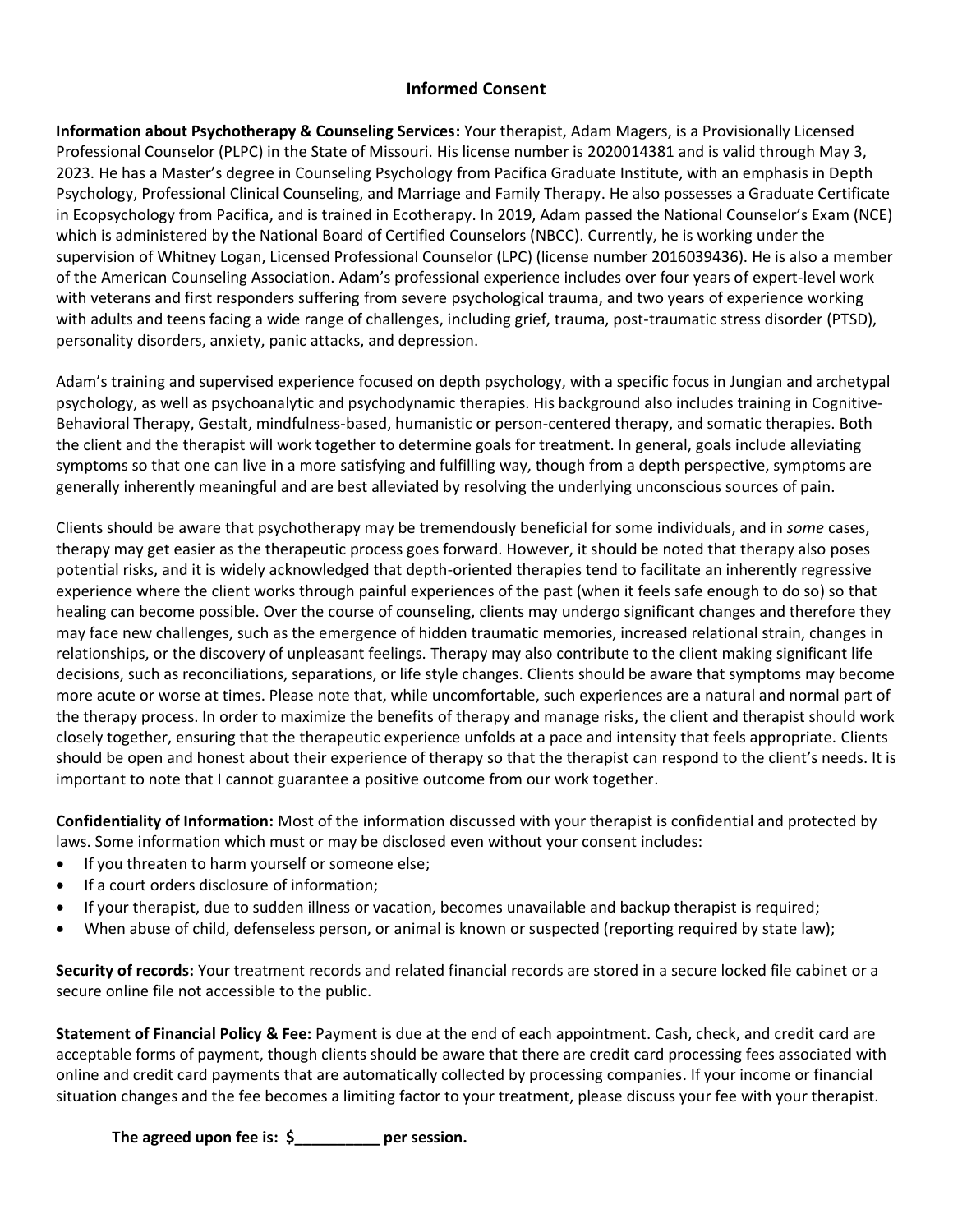## **Informed Consent**

**Information about Psychotherapy & Counseling Services:** Your therapist, Adam Magers, is a Provisionally Licensed Professional Counselor (PLPC) in the State of Missouri. His license number is 2020014381 and is valid through May 3, 2023. He has a Master's degree in Counseling Psychology from Pacifica Graduate Institute, with an emphasis in Depth Psychology, Professional Clinical Counseling, and Marriage and Family Therapy. He also possesses a Graduate Certificate in Ecopsychology from Pacifica, and is trained in Ecotherapy. In 2019, Adam passed the National Counselor's Exam (NCE) which is administered by the National Board of Certified Counselors (NBCC). Currently, he is working under the supervision of Whitney Logan, Licensed Professional Counselor (LPC) (license number 2016039436). He is also a member of the American Counseling Association. Adam's professional experience includes over four years of expert-level work with veterans and first responders suffering from severe psychological trauma, and two years of experience working with adults and teens facing a wide range of challenges, including grief, trauma, post-traumatic stress disorder (PTSD), personality disorders, anxiety, panic attacks, and depression.

Adam's training and supervised experience focused on depth psychology, with a specific focus in Jungian and archetypal psychology, as well as psychoanalytic and psychodynamic therapies. His background also includes training in Cognitive-Behavioral Therapy, Gestalt, mindfulness-based, humanistic or person-centered therapy, and somatic therapies. Both the client and the therapist will work together to determine goals for treatment. In general, goals include alleviating symptoms so that one can live in a more satisfying and fulfilling way, though from a depth perspective, symptoms are generally inherently meaningful and are best alleviated by resolving the underlying unconscious sources of pain.

Clients should be aware that psychotherapy may be tremendously beneficial for some individuals, and in *some* cases, therapy may get easier as the therapeutic process goes forward. However, it should be noted that therapy also poses potential risks, and it is widely acknowledged that depth-oriented therapies tend to facilitate an inherently regressive experience where the client works through painful experiences of the past (when it feels safe enough to do so) so that healing can become possible. Over the course of counseling, clients may undergo significant changes and therefore they may face new challenges, such as the emergence of hidden traumatic memories, increased relational strain, changes in relationships, or the discovery of unpleasant feelings. Therapy may also contribute to the client making significant life decisions, such as reconciliations, separations, or life style changes. Clients should be aware that symptoms may become more acute or worse at times. Please note that, while uncomfortable, such experiences are a natural and normal part of the therapy process. In order to maximize the benefits of therapy and manage risks, the client and therapist should work closely together, ensuring that the therapeutic experience unfolds at a pace and intensity that feels appropriate. Clients should be open and honest about their experience of therapy so that the therapist can respond to the client's needs. It is important to note that I cannot guarantee a positive outcome from our work together.

**Confidentiality of Information:** Most of the information discussed with your therapist is confidential and protected by laws. Some information which must or may be disclosed even without your consent includes:

- If you threaten to harm yourself or someone else;
- If a court orders disclosure of information;
- If your therapist, due to sudden illness or vacation, becomes unavailable and backup therapist is required;
- When abuse of child, defenseless person, or animal is known or suspected (reporting required by state law);

**Security of records:** Your treatment records and related financial records are stored in a secure locked file cabinet or a secure online file not accessible to the public.

**Statement of Financial Policy & Fee:** Payment is due at the end of each appointment. Cash, check, and credit card are acceptable forms of payment, though clients should be aware that there are credit card processing fees associated with online and credit card payments that are automatically collected by processing companies. If your income or financial situation changes and the fee becomes a limiting factor to your treatment, please discuss your fee with your therapist.

**The agreed upon fee is: \$\_\_\_\_\_\_\_\_\_\_ per session.**